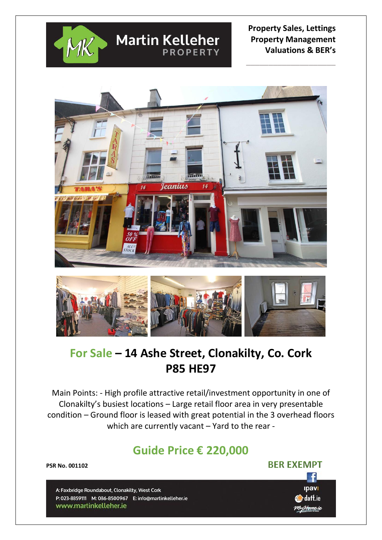

## **Property Sales, Lettings Property Management Valuations & BER's**

 **\_\_\_\_\_\_\_\_\_\_\_\_\_\_\_\_\_\_\_\_**



**Martin Kelleher** 

**PROPERTY** 



# **For Sale – 14 Ashe Street, Clonakilty, Co. Cork P85 HE97**

Main Points: - High profile attractive retail/investment opportunity in one of Clonakilty's busiest locations – Large retail floor area in very presentable condition – Ground floor is leased with great potential in the 3 overhead floors which are currently vacant – Yard to the rear -

# **Guide Price € 220,000**

**PSR No. 001102** 

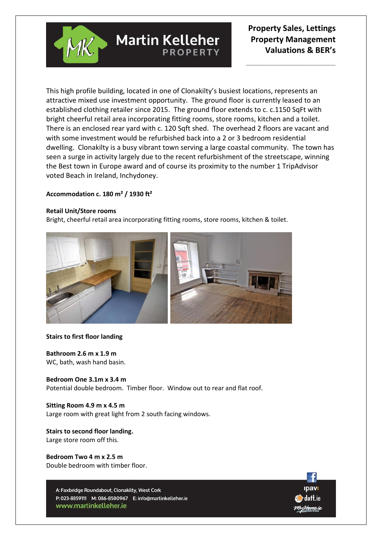

 **\_\_\_\_\_\_\_\_\_\_\_\_\_\_\_\_\_\_\_\_**

This high profile building, located in one of Clonakilty's busiest locations, represents an attractive mixed use investment opportunity. The ground floor is currently leased to an established clothing retailer since 2015. The ground floor extends to c. c.1150 SqFt with bright cheerful retail area incorporating fitting rooms, store rooms, kitchen and a toilet. There is an enclosed rear yard with c. 120 Sqft shed. The overhead 2 floors are vacant and with some investment would be refurbished back into a 2 or 3 bedroom residential dwelling. Clonakilty is a busy vibrant town serving a large coastal community. The town has seen a surge in activity largely due to the recent refurbishment of the streetscape, winning the Best town in Europe award and of course its proximity to the number 1 TripAdvisor voted Beach in Ireland, Inchydoney.

**PROPFRTY** 

### **Accommodation c. 180 m² / 1930 ft²**

### **Retail Unit/Store rooms**

Bright, cheerful retail area incorporating fitting rooms, store rooms, kitchen & toilet.

**Martin Kelleher** 



### **Stairs to first floor landing**

**Bathroom 2.6 m x 1.9 m** WC, bath, wash hand basin.

**Bedroom One 3.1m x 3.4 m** Potential double bedroom. Timber floor. Window out to rear and flat roof.

### **Sitting Room 4.9 m x 4.5 m**

Large room with great light from 2 south facing windows.

### **Stairs to second floor landing.** Large store room off this.

**Bedroom Two 4 m x 2.5 m** Double bedroom with timber floor.

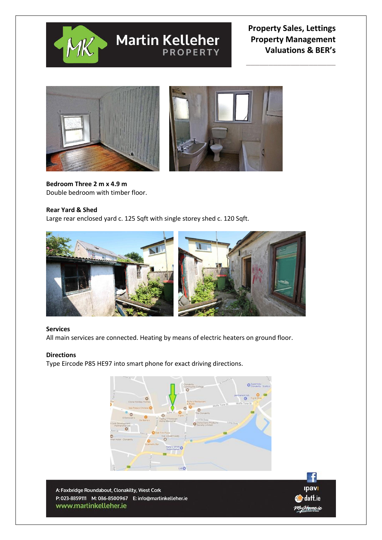

# **Martin Kelleher**

## **Property Sales, Lettings Property Management Valuations & BER's**

 **\_\_\_\_\_\_\_\_\_\_\_\_\_\_\_\_\_\_\_\_**



**Bedroom Three 2 m x 4.9 m** Double bedroom with timber floor.

### **Rear Yard & Shed**

Large rear enclosed yard c. 125 Sqft with single storey shed c. 120 Sqft.



### **Services**

All main services are connected. Heating by means of electric heaters on ground floor.

### **Directions**

Type Eircode P85 HE97 into smart phone for exact driving directions.